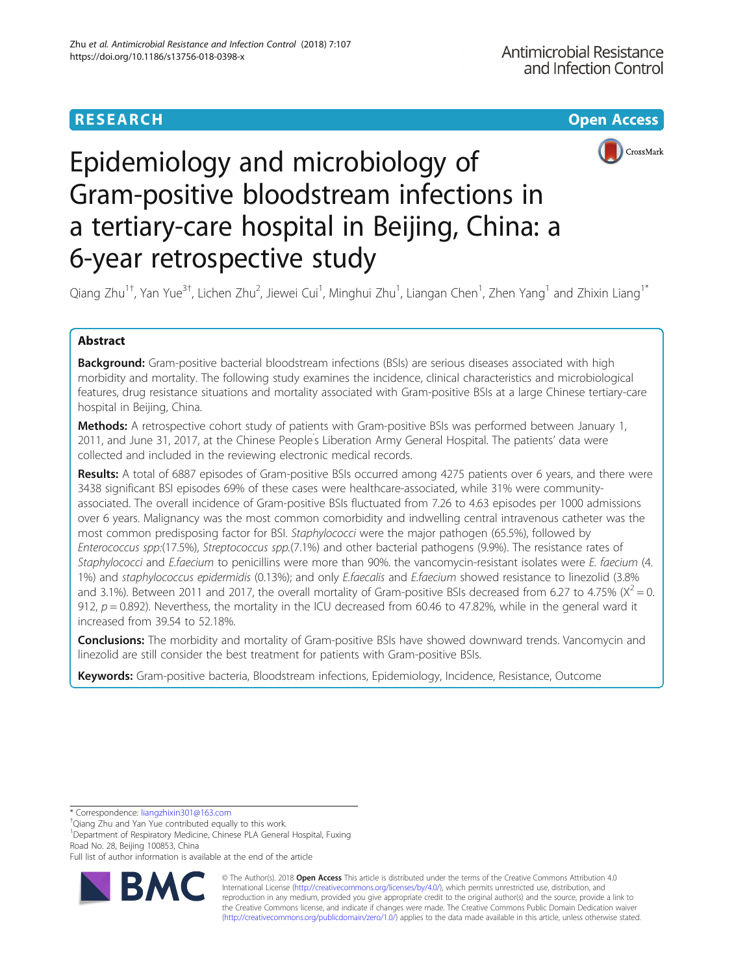## **RESEARCH CHE Open Access**



# Epidemiology and microbiology of Gram-positive bloodstream infections in a tertiary-care hospital in Beijing, China: a 6-year retrospective study

Qiang Zhu<sup>1†</sup>, Yan Yue<sup>3†</sup>, Lichen Zhu<sup>2</sup>, Jiewei Cui<sup>1</sup>, Minghui Zhu<sup>1</sup>, Liangan Chen<sup>1</sup>, Zhen Yang<sup>1</sup> and Zhixin Liang<sup>1\*</sup>

## Abstract

**Background:** Gram-positive bacterial bloodstream infections (BSIs) are serious diseases associated with high morbidity and mortality. The following study examines the incidence, clinical characteristics and microbiological features, drug resistance situations and mortality associated with Gram-positive BSIs at a large Chinese tertiary-care hospital in Beijing, China.

Methods: A retrospective cohort study of patients with Gram-positive BSIs was performed between January 1, 2011, and June 31, 2017, at the Chinese People' s Liberation Army General Hospital. The patients' data were collected and included in the reviewing electronic medical records.

Results: A total of 6887 episodes of Gram-positive BSIs occurred among 4275 patients over 6 years, and there were 3438 significant BSI episodes 69% of these cases were healthcare-associated, while 31% were communityassociated. The overall incidence of Gram-positive BSIs fluctuated from 7.26 to 4.63 episodes per 1000 admissions over 6 years. Malignancy was the most common comorbidity and indwelling central intravenous catheter was the most common predisposing factor for BSI. Staphylococci were the major pathogen (65.5%), followed by Enterococcus spp:(17.5%), Streptococcus spp.(7.1%) and other bacterial pathogens (9.9%). The resistance rates of Staphylococci and E.faecium to penicillins were more than 90%. the vancomycin-resistant isolates were E. faecium (4. 1%) and staphylococcus epidermidis (0.13%); and only E.faecalis and E.faecium showed resistance to linezolid (3.8% and 3.1%). Between 2011 and 2017, the overall mortality of Gram-positive BSIs decreased from 6.27 to 4.75% ( $X^2 = 0$ . 912,  $p = 0.892$ ). Neverthess, the mortality in the ICU decreased from 60.46 to 47.82%, while in the general ward it increased from 39.54 to 52.18%.

**Conclusions:** The morbidity and mortality of Gram-positive BSIs have showed downward trends. Vancomycin and linezolid are still consider the best treatment for patients with Gram-positive BSIs.

Keywords: Gram-positive bacteria, Bloodstream infections, Epidemiology, Incidence, Resistance, Outcome

\* Correspondence: [liangzhixin301@163.com](mailto:liangzhixin301@163.com) †

<sup>†</sup>Qiang Zhu and Yan Yue contributed equally to this work.

<sup>1</sup>Department of Respiratory Medicine, Chinese PLA General Hospital, Fuxing Road No. 28, Beijing 100853, China

Full list of author information is available at the end of the article



© The Author(s). 2018 Open Access This article is distributed under the terms of the Creative Commons Attribution 4.0 International License [\(http://creativecommons.org/licenses/by/4.0/](http://creativecommons.org/licenses/by/4.0/)), which permits unrestricted use, distribution, and reproduction in any medium, provided you give appropriate credit to the original author(s) and the source, provide a link to the Creative Commons license, and indicate if changes were made. The Creative Commons Public Domain Dedication waiver [\(http://creativecommons.org/publicdomain/zero/1.0/](http://creativecommons.org/publicdomain/zero/1.0/)) applies to the data made available in this article, unless otherwise stated.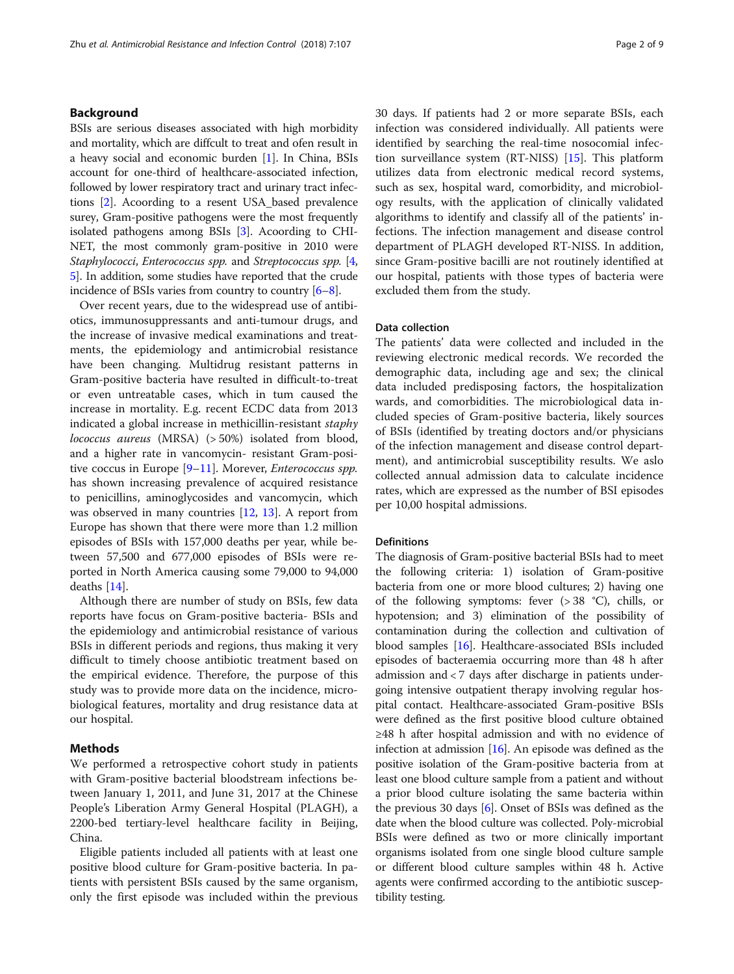## Background

BSIs are serious diseases associated with high morbidity and mortality, which are diffcult to treat and ofen result in a heavy social and economic burden [[1\]](#page-8-0). In China, BSIs account for one-third of healthcare-associated infection, followed by lower respiratory tract and urinary tract infections [\[2](#page-8-0)]. Acoording to a resent USA\_based prevalence surey, Gram-positive pathogens were the most frequently isolated pathogens among BSIs [\[3\]](#page-8-0). Acoording to CHI-NET, the most commonly gram-positive in 2010 were Staphylococci, Enterococcus spp. and Streptococcus spp. [[4](#page-8-0), [5\]](#page-8-0). In addition, some studies have reported that the crude incidence of BSIs varies from country to country [\[6](#page-8-0)–[8\]](#page-8-0).

Over recent years, due to the widespread use of antibiotics, immunosuppressants and anti-tumour drugs, and the increase of invasive medical examinations and treatments, the epidemiology and antimicrobial resistance have been changing. Multidrug resistant patterns in Gram-positive bacteria have resulted in difficult-to-treat or even untreatable cases, which in tum caused the increase in mortality. E.g. recent ECDC data from 2013 indicated a global increase in methicillin-resistant staphy lococcus aureus (MRSA) (> 50%) isolated from blood, and a higher rate in vancomycin- resistant Gram-posi-tive coccus in Europe [\[9](#page-8-0)–[11](#page-8-0)]. Morever, *Enterococcus spp*. has shown increasing prevalence of acquired resistance to penicillins, aminoglycosides and vancomycin, which was observed in many countries [\[12](#page-8-0), [13\]](#page-8-0). A report from Europe has shown that there were more than 1.2 million episodes of BSIs with 157,000 deaths per year, while between 57,500 and 677,000 episodes of BSIs were reported in North America causing some 79,000 to 94,000 deaths [\[14\]](#page-8-0).

Although there are number of study on BSIs, few data reports have focus on Gram-positive bacteria- BSIs and the epidemiology and antimicrobial resistance of various BSIs in different periods and regions, thus making it very difficult to timely choose antibiotic treatment based on the empirical evidence. Therefore, the purpose of this study was to provide more data on the incidence, microbiological features, mortality and drug resistance data at our hospital.

### Methods

We performed a retrospective cohort study in patients with Gram-positive bacterial bloodstream infections between January 1, 2011, and June 31, 2017 at the Chinese People's Liberation Army General Hospital (PLAGH), a 2200-bed tertiary-level healthcare facility in Beijing, China.

Eligible patients included all patients with at least one positive blood culture for Gram-positive bacteria. In patients with persistent BSIs caused by the same organism, only the first episode was included within the previous 30 days. If patients had 2 or more separate BSIs, each infection was considered individually. All patients were identified by searching the real-time nosocomial infection surveillance system (RT-NISS) [[15\]](#page-8-0). This platform utilizes data from electronic medical record systems, such as sex, hospital ward, comorbidity, and microbiology results, with the application of clinically validated algorithms to identify and classify all of the patients' infections. The infection management and disease control department of PLAGH developed RT-NISS. In addition, since Gram-positive bacilli are not routinely identified at our hospital, patients with those types of bacteria were excluded them from the study.

## Data collection

The patients' data were collected and included in the reviewing electronic medical records. We recorded the demographic data, including age and sex; the clinical data included predisposing factors, the hospitalization wards, and comorbidities. The microbiological data included species of Gram-positive bacteria, likely sources of BSIs (identified by treating doctors and/or physicians of the infection management and disease control department), and antimicrobial susceptibility results. We aslo collected annual admission data to calculate incidence rates, which are expressed as the number of BSI episodes per 10,00 hospital admissions.

#### **Definitions**

The diagnosis of Gram-positive bacterial BSIs had to meet the following criteria: 1) isolation of Gram-positive bacteria from one or more blood cultures; 2) having one of the following symptoms: fever (> 38 °C), chills, or hypotension; and 3) elimination of the possibility of contamination during the collection and cultivation of blood samples [\[16\]](#page-8-0). Healthcare-associated BSIs included episodes of bacteraemia occurring more than 48 h after admission and < 7 days after discharge in patients undergoing intensive outpatient therapy involving regular hospital contact. Healthcare-associated Gram-positive BSIs were defined as the first positive blood culture obtained ≥48 h after hospital admission and with no evidence of infection at admission  $[16]$ . An episode was defined as the positive isolation of the Gram-positive bacteria from at least one blood culture sample from a patient and without a prior blood culture isolating the same bacteria within the previous 30 days [\[6](#page-8-0)]. Onset of BSIs was defined as the date when the blood culture was collected. Poly-microbial BSIs were defined as two or more clinically important organisms isolated from one single blood culture sample or different blood culture samples within 48 h. Active agents were confirmed according to the antibiotic susceptibility testing.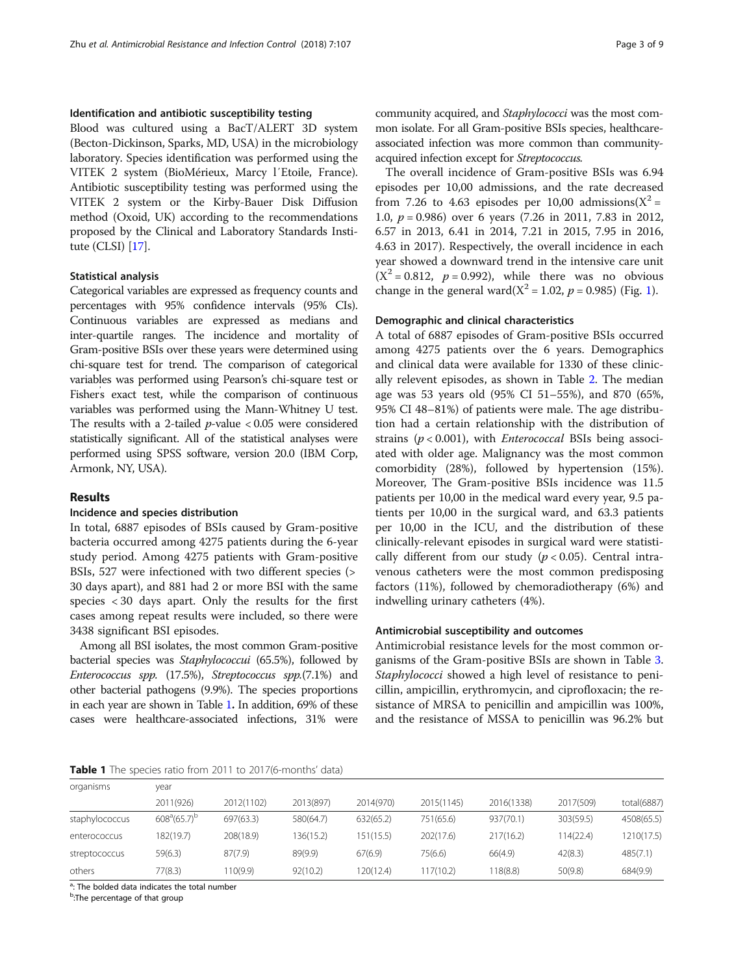## Identification and antibiotic susceptibility testing

Blood was cultured using a BacT/ALERT 3D system (Becton-Dickinson, Sparks, MD, USA) in the microbiology laboratory. Species identification was performed using the VITEK 2 system (BioMérieux, Marcy l′Etoile, France). Antibiotic susceptibility testing was performed using the VITEK 2 system or the Kirby-Bauer Disk Diffusion method (Oxoid, UK) according to the recommendations proposed by the Clinical and Laboratory Standards Institute (CLSI) [\[17\]](#page-8-0).

## Statistical analysis

Categorical variables are expressed as frequency counts and percentages with 95% confidence intervals (95% CIs). Continuous variables are expressed as medians and inter-quartile ranges. The incidence and mortality of Gram-positive BSIs over these years were determined using chi-square test for trend. The comparison of categorical variables was performed using Pearson's chi-square test or Fisher' s exact test, while the comparison of continuous variables was performed using the Mann-Whitney U test. The results with a 2-tailed  $p$ -value < 0.05 were considered statistically significant. All of the statistical analyses were performed using SPSS software, version 20.0 (IBM Corp, Armonk, NY, USA).

## Results

#### Incidence and species distribution

In total, 6887 episodes of BSIs caused by Gram-positive bacteria occurred among 4275 patients during the 6-year study period. Among 4275 patients with Gram-positive BSIs, 527 were infectioned with two different species (> 30 days apart), and 881 had 2 or more BSI with the same species < 30 days apart. Only the results for the first cases among repeat results were included, so there were 3438 significant BSI episodes.

Among all BSI isolates, the most common Gram-positive bacterial species was Staphylococcui (65.5%), followed by Enterococcus spp. (17.5%), Streptococcus spp.(7.1%) and other bacterial pathogens (9.9%). The species proportions in each year are shown in Table 1. In addition, 69% of these cases were healthcare-associated infections, 31% were community acquired, and Staphylococci was the most common isolate. For all Gram-positive BSIs species, healthcareassociated infection was more common than communityacquired infection except for Streptococcus.

The overall incidence of Gram-positive BSIs was 6.94 episodes per 10,00 admissions, and the rate decreased from 7.26 to 4.63 episodes per 10,00 admissions( $X^2$  = 1.0, p = 0.986) over 6 years (7.26 in 2011, 7.83 in 2012, 6.57 in 2013, 6.41 in 2014, 7.21 in 2015, 7.95 in 2016, 4.63 in 2017). Respectively, the overall incidence in each year showed a downward trend in the intensive care unit  $(X^2 = 0.812, p = 0.992)$ , while there was no obvious change in the general ward( $X^2 = 1.02$  $X^2 = 1.02$  $X^2 = 1.02$ ,  $p = 0.985$ ) (Fig. 1).

### Demographic and clinical characteristics

A total of 6887 episodes of Gram-positive BSIs occurred among 4275 patients over the 6 years. Demographics and clinical data were available for 1330 of these clinically relevent episodes, as shown in Table [2.](#page-4-0) The median age was 53 years old (95% CI 51–55%), and 870 (65%, 95% CI 48–81%) of patients were male. The age distribution had a certain relationship with the distribution of strains ( $p < 0.001$ ), with *Enterococcal* BSIs being associated with older age. Malignancy was the most common comorbidity (28%), followed by hypertension (15%). Moreover, The Gram-positive BSIs incidence was 11.5 patients per 10,00 in the medical ward every year, 9.5 patients per 10,00 in the surgical ward, and 63.3 patients per 10,00 in the ICU, and the distribution of these clinically-relevant episodes in surgical ward were statistically different from our study ( $p < 0.05$ ). Central intravenous catheters were the most common predisposing factors (11%), followed by chemoradiotherapy (6%) and indwelling urinary catheters (4%).

## Antimicrobial susceptibility and outcomes

Antimicrobial resistance levels for the most common organisms of the Gram-positive BSIs are shown in Table [3](#page-5-0). Staphylococci showed a high level of resistance to penicillin, ampicillin, erythromycin, and ciprofloxacin; the resistance of MRSA to penicillin and ampicillin was 100%, and the resistance of MSSA to penicillin was 96.2% but

Table 1 The species ratio from 2011 to 2017(6-months' data)

| organisms      | vear                              |            |           |           |            |            |           |             |
|----------------|-----------------------------------|------------|-----------|-----------|------------|------------|-----------|-------------|
|                | 2011(926)                         | 2012(1102) | 2013(897) | 2014(970) | 2015(1145) | 2016(1338) | 2017(509) | total(6887) |
| staphylococcus | $608^{\rm a}$ (65.7) <sup>b</sup> | 697(63.3)  | 580(64.7) | 632(65.2) | 751(65.6)  | 937(70.1)  | 303(59.5) | 4508(65.5)  |
| enterococcus   | 182(19.7)                         | 208(18.9)  | 136(15.2) | 151(15.5) | 202(17.6)  | 217(16.2)  | 114(22.4) | 1210(17.5)  |
| streptococcus  | 59(6.3)                           | 87(7.9)    | 89(9.9)   | 67(6.9)   | 75(6.6)    | 66(4.9)    | 42(8.3)   | 485(7.1)    |
| others         | 77(8.3)                           | 10(9.9)    | 92(10.2)  | 120(12.4) | 117(10.2)  | 18(8.8)    | 50(9.8)   | 684(9.9)    |

<sup>a</sup>: The bolded data indicates the total number

<sup>b</sup>:The percentage of that group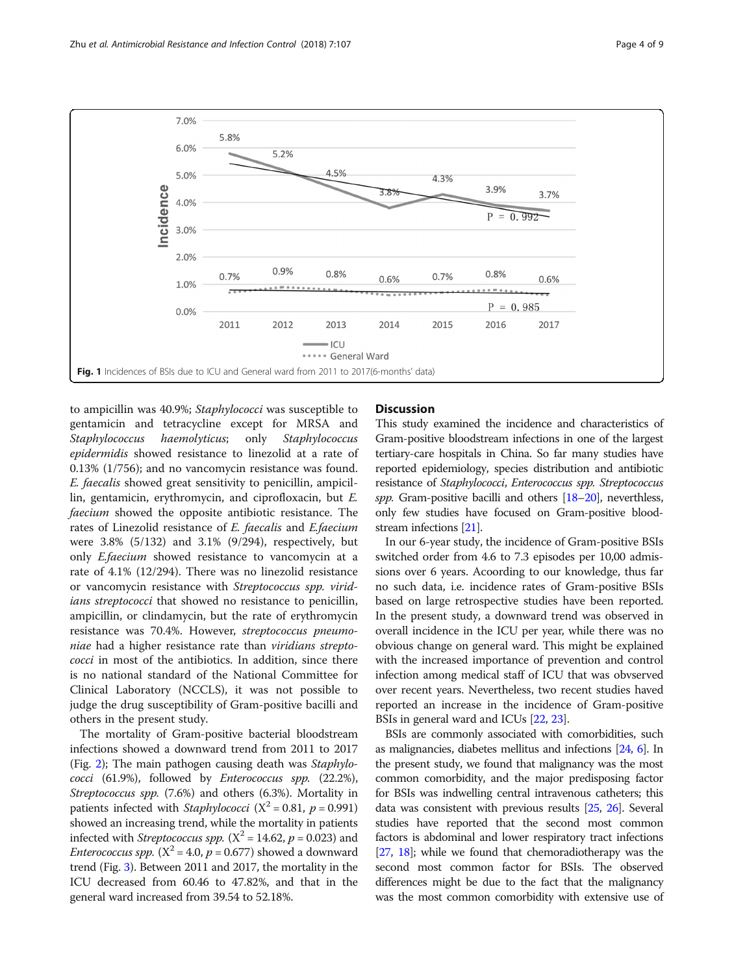<span id="page-3-0"></span>

to ampicillin was 40.9%; Staphylococci was susceptible to gentamicin and tetracycline except for MRSA and Staphylococcus haemolyticus; only Staphylococcus epidermidis showed resistance to linezolid at a rate of 0.13% (1/756); and no vancomycin resistance was found. E. faecalis showed great sensitivity to penicillin, ampicillin, gentamicin, erythromycin, and ciprofloxacin, but E. faecium showed the opposite antibiotic resistance. The rates of Linezolid resistance of E. faecalis and E.faecium were 3.8% (5/132) and 3.1% (9/294), respectively, but only E.faecium showed resistance to vancomycin at a rate of 4.1% (12/294). There was no linezolid resistance or vancomycin resistance with Streptococcus spp. viridians streptococci that showed no resistance to penicillin, ampicillin, or clindamycin, but the rate of erythromycin resistance was 70.4%. However, streptococcus pneumoniae had a higher resistance rate than viridians streptococci in most of the antibiotics. In addition, since there is no national standard of the National Committee for Clinical Laboratory (NCCLS), it was not possible to judge the drug susceptibility of Gram-positive bacilli and others in the present study.

The mortality of Gram-positive bacterial bloodstream infections showed a downward trend from 2011 to 2017 (Fig. [2](#page-6-0)); The main pathogen causing death was Staphylococci (61.9%), followed by Enterococcus spp. (22.2%), Streptococcus spp. (7.6%) and others (6.3%). Mortality in patients infected with *Staphylococci* ( $X^2 = 0.81$ ,  $p = 0.991$ ) showed an increasing trend, while the mortality in patients infected with *Streptococcus spp.* ( $X^2 = 14.62$ ,  $p = 0.023$ ) and *Enterococcus spp.* ( $X^2 = 4.0$ ,  $p = 0.677$ ) showed a downward trend (Fig. [3\)](#page-6-0). Between 2011 and 2017, the mortality in the ICU decreased from 60.46 to 47.82%, and that in the general ward increased from 39.54 to 52.18%.

## **Discussion**

This study examined the incidence and characteristics of Gram-positive bloodstream infections in one of the largest tertiary-care hospitals in China. So far many studies have reported epidemiology, species distribution and antibiotic resistance of Staphylococci, Enterococcus spp. Streptococcus spp. Gram-positive bacilli and others [\[18](#page-8-0)–[20](#page-8-0)], neverthless, only few studies have focused on Gram-positive bloodstream infections [\[21\]](#page-8-0).

In our 6-year study, the incidence of Gram-positive BSIs switched order from 4.6 to 7.3 episodes per 10,00 admissions over 6 years. Acoording to our knowledge, thus far no such data, i.e. incidence rates of Gram-positive BSIs based on large retrospective studies have been reported. In the present study, a downward trend was observed in overall incidence in the ICU per year, while there was no obvious change on general ward. This might be explained with the increased importance of prevention and control infection among medical staff of ICU that was obvserved over recent years. Nevertheless, two recent studies haved reported an increase in the incidence of Gram-positive BSIs in general ward and ICUs [\[22,](#page-8-0) [23](#page-8-0)].

BSIs are commonly associated with comorbidities, such as malignancies, diabetes mellitus and infections [[24,](#page-8-0) [6\]](#page-8-0). In the present study, we found that malignancy was the most common comorbidity, and the major predisposing factor for BSIs was indwelling central intravenous catheters; this data was consistent with previous results [\[25,](#page-8-0) [26\]](#page-8-0). Several studies have reported that the second most common factors is abdominal and lower respiratory tract infections [[27](#page-8-0), [18\]](#page-8-0); while we found that chemoradiotherapy was the second most common factor for BSIs. The observed differences might be due to the fact that the malignancy was the most common comorbidity with extensive use of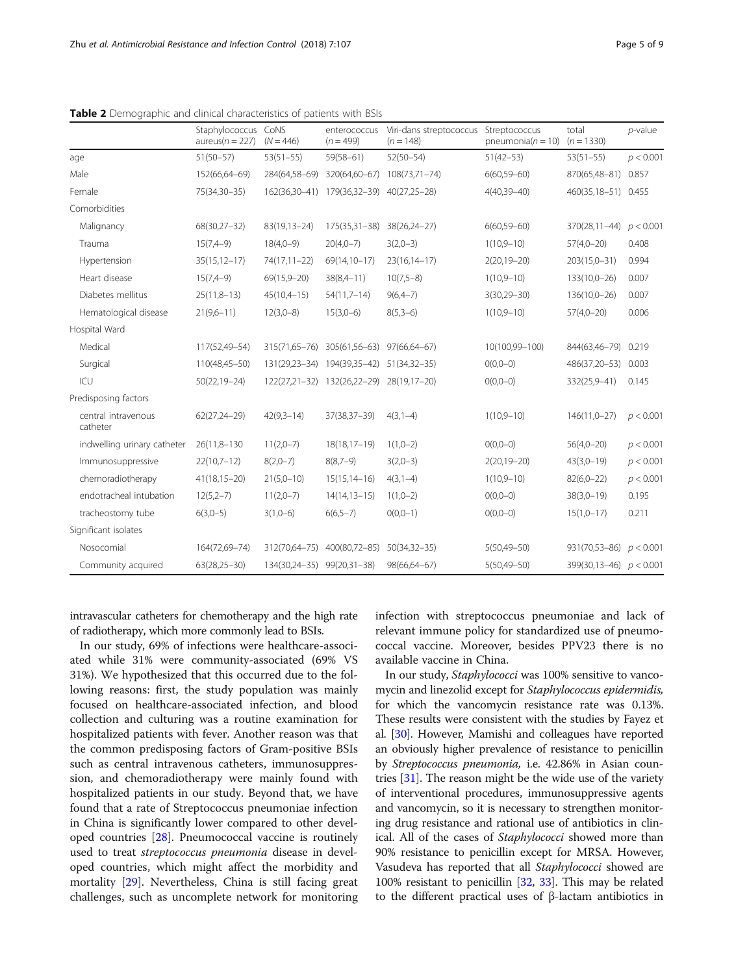|                                 | Staphylococcus<br>aureus $(n = 227)$ | CoNS<br>$(N = 446)$        | enterococcus<br>$(n = 499)$              | Viri-dans streptococcus<br>$(n = 148)$ | Streptococcus<br>pneumonia $(n = 10)$ | total<br>$(n = 1330)$     | $p$ -value |
|---------------------------------|--------------------------------------|----------------------------|------------------------------------------|----------------------------------------|---------------------------------------|---------------------------|------------|
| age                             | $51(50 - 57)$                        | $53(51 - 55)$              | $59(58 - 61)$                            | $52(50 - 54)$                          | $51(42 - 53)$                         | $53(51 - 55)$             | p < 0.001  |
| Male                            | 152(66,64-69)                        | 284(64,58-69)              | 320(64,60-67)                            | 108(73,71-74)                          | $6(60, 59 - 60)$                      | 870(65,48-81)             | 0.857      |
| Female                          | 75(34,30-35)                         | 162(36,30-41)              | 179(36,32-39)                            | $40(27, 25 - 28)$                      | $4(40,39-40)$                         | 460(35,18-51)             | 0.455      |
| Comorbidities                   |                                      |                            |                                          |                                        |                                       |                           |            |
| Malignancy                      | 68(30,27-32)                         | 83(19,13-24)               | $175(35,31-38)$                          | 38(26,24-27)                           | $6(60, 59 - 60)$                      | 370(28,11-44)             | p < 0.001  |
| Trauma                          | $15(7,4-9)$                          | $18(4,0-9)$                | $20(4,0-7)$                              | $3(2,0-3)$                             | $1(10,9-10)$                          | $57(4,0-20)$              | 0.408      |
| Hypertension                    | $35(15, 12 - 17)$                    | 74(17,11-22)               | $69(14,10-17)$                           | $23(16, 14 - 17)$                      | $2(20, 19 - 20)$                      | 203(15,0-31)              | 0.994      |
| Heart disease                   | $15(7,4-9)$                          | $69(15,9 - 20)$            | $38(8,4-11)$                             | $10(7,5-8)$                            | $1(10,9-10)$                          | 133(10,0-26)              | 0.007      |
| Diabetes mellitus               | $25(11,8-13)$                        | $45(10,4-15)$              | $54(11,7-14)$                            | $9(6,4-7)$                             | $3(30, 29 - 30)$                      | 136(10,0-26)              | 0.007      |
| Hematological disease           | $21(9,6-11)$                         | $12(3,0-8)$                | $15(3,0-6)$                              | $8(5,3-6)$                             | $1(10,9-10)$                          | $57(4,0-20)$              | 0.006      |
| Hospital Ward                   |                                      |                            |                                          |                                        |                                       |                           |            |
| Medical                         | 117(52,49-54)                        |                            | 315(71,65-76) 305(61,56-63) 97(66,64-67) |                                        | 10(100,99-100)                        | 844(63,46-79)             | 0.219      |
| Surgical                        | 110(48,45-50)                        | 131(29,23-34)              | 194(39,35-42)                            | $51(34,32-35)$                         | $O(0, 0 - 0)$                         | 486(37,20-53)             | 0.003      |
| ICU                             | $50(22, 19 - 24)$                    | $122(27,21-32)$            | 132(26,22-29)                            | 28(19,17-20)                           | $O(0, 0 - 0)$                         | 332(25,9-41)              | 0.145      |
| Predisposing factors            |                                      |                            |                                          |                                        |                                       |                           |            |
| central intravenous<br>catheter | $62(27,24-29)$                       | $42(9,3-14)$               | 37(38,37-39)                             | $4(3,1-4)$                             | $1(10,9-10)$                          | $146(11,0-27)$            | p < 0.001  |
| indwelling urinary catheter     | 26(11,8-130)                         | $11(2,0-7)$                | $18(18, 17 - 19)$                        | $1(1,0-2)$                             | $O(O_0O-O)$                           | $56(4,0-20)$              | p < 0.001  |
| Immunosuppressive               | $22(10,7-12)$                        | $8(2,0-7)$                 | $8(8,7-9)$                               | $3(2,0-3)$                             | $2(20, 19 - 20)$                      | $43(3,0-19)$              | p < 0.001  |
| chemoradiotherapy               | $41(18, 15 - 20)$                    | $21(5,0-10)$               | $15(15, 14 - 16)$                        | $4(3,1-4)$                             | $1(10,9-10)$                          | $82(6,0-22)$              | p < 0.001  |
| endotracheal intubation         | $12(5,2-7)$                          | $11(2,0-7)$                | $14(14, 13 - 15)$                        | $1(1,0-2)$                             | $O(0, 0 - 0)$                         | $38(3,0-19)$              | 0.195      |
| tracheostomy tube               | $6(3,0-5)$                           | $3(1,0-6)$                 | $6(6,5-7)$                               | $O(0, 0 - 1)$                          | $O(0, 0 - 0)$                         | $15(1,0-17)$              | 0.211      |
| Significant isolates            |                                      |                            |                                          |                                        |                                       |                           |            |
| Nosocomial                      | 164(72,69-74)                        | 312(70,64-75)              | 400(80,72-85)                            | 50(34.32-35)                           | $5(50, 49 - 50)$                      | 931(70,53-86) $p < 0.001$ |            |
| Community acquired              | $63(28, 25 - 30)$                    | 134(30,24-35) 99(20,31-38) |                                          | 98(66,64-67)                           | $5(50, 49 - 50)$                      | 399(30,13-46) $p < 0.001$ |            |

<span id="page-4-0"></span>Table 2 Demographic and clinical characteristics of patients with BSIs

intravascular catheters for chemotherapy and the high rate of radiotherapy, which more commonly lead to BSIs.

In our study, 69% of infections were healthcare-associated while 31% were community-associated (69% VS 31%). We hypothesized that this occurred due to the following reasons: first, the study population was mainly focused on healthcare-associated infection, and blood collection and culturing was a routine examination for hospitalized patients with fever. Another reason was that the common predisposing factors of Gram-positive BSIs such as central intravenous catheters, immunosuppression, and chemoradiotherapy were mainly found with hospitalized patients in our study. Beyond that, we have found that a rate of Streptococcus pneumoniae infection in China is significantly lower compared to other developed countries [\[28\]](#page-8-0). Pneumococcal vaccine is routinely used to treat streptococcus pneumonia disease in developed countries, which might affect the morbidity and mortality [[29\]](#page-8-0). Nevertheless, China is still facing great challenges, such as uncomplete network for monitoring infection with streptococcus pneumoniae and lack of relevant immune policy for standardized use of pneumococcal vaccine. Moreover, besides PPV23 there is no available vaccine in China.

In our study, Staphylococci was 100% sensitive to vancomycin and linezolid except for Staphylococcus epidermidis, for which the vancomycin resistance rate was 0.13%. These results were consistent with the studies by Fayez et al. [\[30](#page-8-0)]. However, Mamishi and colleagues have reported an obviously higher prevalence of resistance to penicillin by Streptococcus pneumonia, i.e. 42.86% in Asian countries [[31](#page-8-0)]. The reason might be the wide use of the variety of interventional procedures, immunosuppressive agents and vancomycin, so it is necessary to strengthen monitoring drug resistance and rational use of antibiotics in clinical. All of the cases of Staphylococci showed more than 90% resistance to penicillin except for MRSA. However, Vasudeva has reported that all Staphylococci showed are 100% resistant to penicillin [\[32,](#page-8-0) [33](#page-8-0)]. This may be related to the different practical uses of β-lactam antibiotics in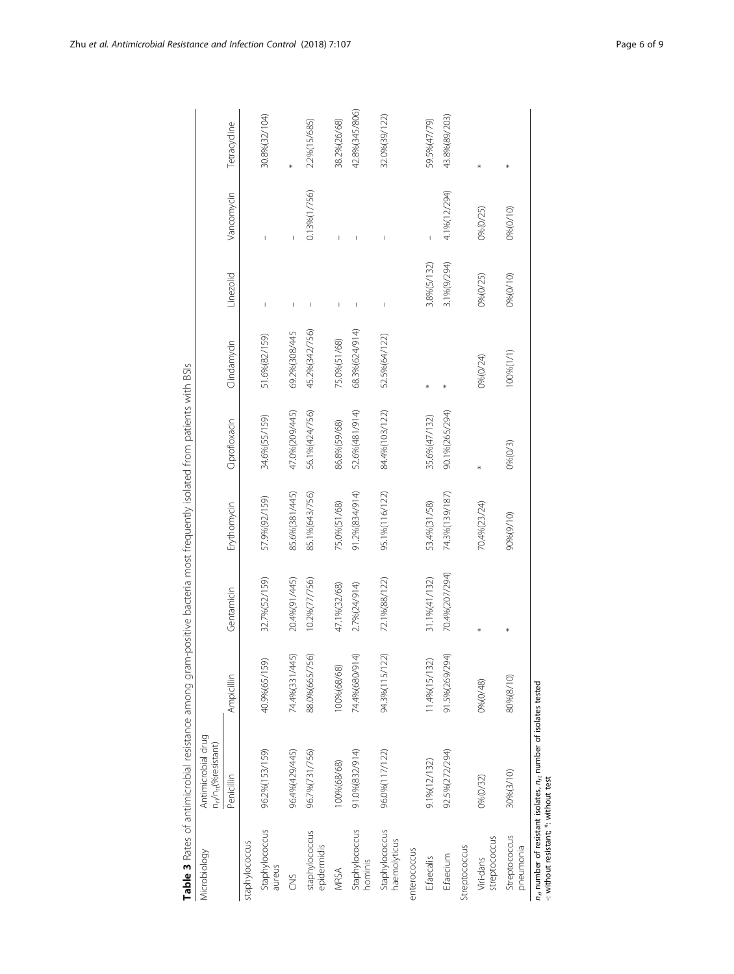<span id="page-5-0"></span>

| Microbiology                          | Antimicrobial drug<br>n <sub>ri</sub> /n <sub>rt</sub> (%resistant)             |                |                |                |                |                |                          |              |                |
|---------------------------------------|---------------------------------------------------------------------------------|----------------|----------------|----------------|----------------|----------------|--------------------------|--------------|----------------|
|                                       | Penicillin                                                                      | Ampicillin     | Gentamicin     | Erythomycin    | Ciprofloxacin  | Clindamycin    | Linezolid                | Vancomycin   | Tetracycline   |
| staphylococcus                        |                                                                                 |                |                |                |                |                |                          |              |                |
| Staphylococcus<br>aureus              | 96.2%(153/159)                                                                  | 40.9%(65/159)  | 32.7%(52/159)  | 57.9%(92/159)  | 34.6%(55/159)  | 51.6%(82/159)  | I                        |              | 30.8%(32/104)  |
| S                                     | 96.4%(429/445)                                                                  | 74.4%(331/445) | 20.4% (91/445) | 85.6%(381/445) | 47.0%(209/445) | 69.2%(308/445  | $\overline{\phantom{a}}$ |              |                |
| staphylococcus<br>epidermidis         | 96.7%(731/756)                                                                  | 88.0%(665/756) | 10.2%(77/756)  | 85.1%(643/756) | 56.1%(424/756) | 45.2%(342/756) | $\overline{1}$           | 0.13%(1/756) | 2.2%(15/685)   |
| MRSA                                  | 100%(68/68)                                                                     | 100%(68/68)    | 47.1%(32/68)   | 75.0%(51/68)   | 86.8%(59/68)   | 75.0%(51/68)   | I                        |              | 38.2%(26/68)   |
| Staphylococcus<br>hominis             | 91.0%(832/914)                                                                  | 74.4%(680/914) | 2.7%(24/914)   | 91.2%(834/914) | 52.6%(481/914) | 68.3%(624/914) |                          |              | 42.8%(345/806) |
| Staphylococcus<br>haemolyticus        | 96.0% (117/122)                                                                 | 94.3%(115/122) | 72.1%(88/122)  | 95.1%(116/122) | 84.4%(103/122) | 52.5%(64/122)  |                          |              | 32.0%(39/122)  |
| enterococcus                          |                                                                                 |                |                |                |                |                |                          |              |                |
| <b>Efaecalis</b>                      | 9.1%(12/132)                                                                    | 11.4% (15/132) | 31.1%(41/132)  | 53.4% (31/58)  | 35.6%(47/132)  |                | 3.8%(5/132)              |              | 59.5%(47/79)   |
| Efaecium                              | 92.5%(272/294)                                                                  | 91.5%(269/294) | 70.4%(207/294) | 74.3%(139/187) | 90.1%(265/294) |                | 3.1%(9/294)              | 4.1%(12/294) | 43.8%(89/203)  |
| Streptococcus                         |                                                                                 |                |                |                |                |                |                          |              |                |
| streptococcus<br>Viri-dans            | 0%(0/32)                                                                        | 0%(0/48)       |                | 70.4%(23/24)   |                | 0%(0/24)       | 0%(0/25)                 | 0%(0/25)     |                |
| Streptococcus<br>pneumonia            | 30%(3/10)                                                                       | 80%(8/10)      |                | 90%(9/10)      | 0%(0/3)        | 100%(1/1)      | 0%(0/10)                 | 0%(0/10)     |                |
| -: without resistant; *: without test | $n_{\rm H}$ number of resistant isolates, $n_{\rm H}$ number of isolates tested |                |                |                |                |                |                          |              |                |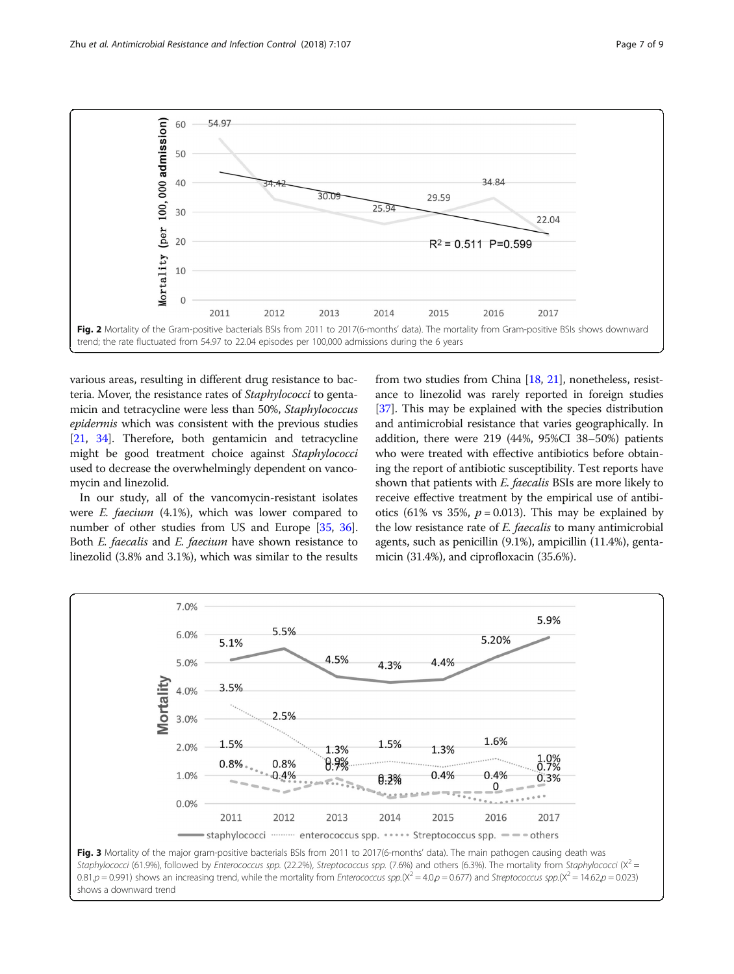<span id="page-6-0"></span>

various areas, resulting in different drug resistance to bacteria. Mover, the resistance rates of Staphylococci to gentamicin and tetracycline were less than 50%, Staphylococcus epidermis which was consistent with the previous studies [[21](#page-8-0), [34\]](#page-8-0). Therefore, both gentamicin and tetracycline might be good treatment choice against Staphylococci used to decrease the overwhelmingly dependent on vancomycin and linezolid.

In our study, all of the vancomycin-resistant isolates were E. faecium (4.1%), which was lower compared to number of other studies from US and Europe [\[35](#page-8-0), [36](#page-8-0)]. Both E. faecalis and E. faecium have shown resistance to linezolid (3.8% and 3.1%), which was similar to the results

from two studies from China [\[18,](#page-8-0) [21\]](#page-8-0), nonetheless, resistance to linezolid was rarely reported in foreign studies [[37](#page-8-0)]. This may be explained with the species distribution and antimicrobial resistance that varies geographically. In addition, there were 219 (44%, 95%CI 38–50%) patients who were treated with effective antibiotics before obtaining the report of antibiotic susceptibility. Test reports have shown that patients with E. faecalis BSIs are more likely to receive effective treatment by the empirical use of antibiotics (61% vs 35%,  $p = 0.013$ ). This may be explained by the low resistance rate of E. faecalis to many antimicrobial agents, such as penicillin (9.1%), ampicillin (11.4%), gentamicin (31.4%), and ciprofloxacin (35.6%).

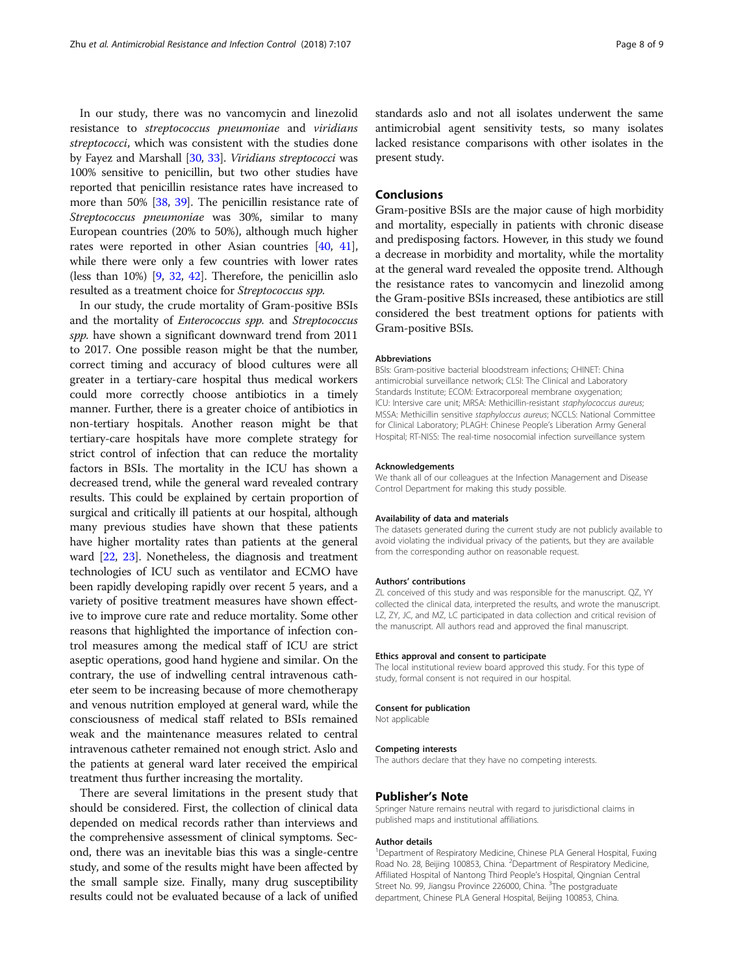In our study, there was no vancomycin and linezolid resistance to streptococcus pneumoniae and viridians streptococci, which was consistent with the studies done by Fayez and Marshall [[30](#page-8-0), [33](#page-8-0)]. Viridians streptococci was 100% sensitive to penicillin, but two other studies have reported that penicillin resistance rates have increased to more than 50% [\[38](#page-8-0), [39\]](#page-8-0). The penicillin resistance rate of Streptococcus pneumoniae was 30%, similar to many European countries (20% to 50%), although much higher rates were reported in other Asian countries [[40](#page-8-0), [41](#page-8-0)], while there were only a few countries with lower rates (less than 10%) [\[9](#page-8-0), [32](#page-8-0), [42\]](#page-8-0). Therefore, the penicillin aslo resulted as a treatment choice for Streptococcus spp.

In our study, the crude mortality of Gram-positive BSIs and the mortality of Enterococcus spp. and Streptococcus spp. have shown a significant downward trend from 2011 to 2017. One possible reason might be that the number, correct timing and accuracy of blood cultures were all greater in a tertiary-care hospital thus medical workers could more correctly choose antibiotics in a timely manner. Further, there is a greater choice of antibiotics in non-tertiary hospitals. Another reason might be that tertiary-care hospitals have more complete strategy for strict control of infection that can reduce the mortality factors in BSIs. The mortality in the ICU has shown a decreased trend, while the general ward revealed contrary results. This could be explained by certain proportion of surgical and critically ill patients at our hospital, although many previous studies have shown that these patients have higher mortality rates than patients at the general ward [[22](#page-8-0), [23](#page-8-0)]. Nonetheless, the diagnosis and treatment technologies of ICU such as ventilator and ECMO have been rapidly developing rapidly over recent 5 years, and a variety of positive treatment measures have shown effective to improve cure rate and reduce mortality. Some other reasons that highlighted the importance of infection control measures among the medical staff of ICU are strict aseptic operations, good hand hygiene and similar. On the contrary, the use of indwelling central intravenous catheter seem to be increasing because of more chemotherapy and venous nutrition employed at general ward, while the consciousness of medical staff related to BSIs remained weak and the maintenance measures related to central intravenous catheter remained not enough strict. Aslo and the patients at general ward later received the empirical treatment thus further increasing the mortality.

There are several limitations in the present study that should be considered. First, the collection of clinical data depended on medical records rather than interviews and the comprehensive assessment of clinical symptoms. Second, there was an inevitable bias this was a single-centre study, and some of the results might have been affected by the small sample size. Finally, many drug susceptibility results could not be evaluated because of a lack of unified

standards aslo and not all isolates underwent the same antimicrobial agent sensitivity tests, so many isolates lacked resistance comparisons with other isolates in the present study.

## Conclusions

Gram-positive BSIs are the major cause of high morbidity and mortality, especially in patients with chronic disease and predisposing factors. However, in this study we found a decrease in morbidity and mortality, while the mortality at the general ward revealed the opposite trend. Although the resistance rates to vancomycin and linezolid among the Gram-positive BSIs increased, these antibiotics are still considered the best treatment options for patients with Gram-positive BSIs.

#### Abbreviations

BSIs: Gram-positive bacterial bloodstream infections; CHINET: China antimicrobial surveillance network; CLSI: The Clinical and Laboratory Standards Institute; ECOM: Extracorporeal membrane oxygenation; ICU: Intersive care unit; MRSA: Methicillin-resistant staphylococcus aureus; MSSA: Methicillin sensitive staphyloccus aureus; NCCLS: National Committee for Clinical Laboratory; PLAGH: Chinese People's Liberation Army General Hospital; RT-NISS: The real-time nosocomial infection surveillance system

#### Acknowledgements

We thank all of our colleagues at the Infection Management and Disease Control Department for making this study possible.

#### Availability of data and materials

The datasets generated during the current study are not publicly available to avoid violating the individual privacy of the patients, but they are available from the corresponding author on reasonable request.

#### Authors' contributions

ZL conceived of this study and was responsible for the manuscript. QZ, YY collected the clinical data, interpreted the results, and wrote the manuscript. LZ, ZY, JC, and MZ, LC participated in data collection and critical revision of the manuscript. All authors read and approved the final manuscript.

#### Ethics approval and consent to participate

The local institutional review board approved this study. For this type of study, formal consent is not required in our hospital.

#### Consent for publication

Not applicable

#### Competing interests

The authors declare that they have no competing interests.

#### Publisher's Note

Springer Nature remains neutral with regard to jurisdictional claims in published maps and institutional affiliations.

#### Author details

<sup>1</sup>Department of Respiratory Medicine, Chinese PLA General Hospital, Fuxing Road No. 28, Beijing 100853, China. <sup>2</sup>Department of Respiratory Medicine Affiliated Hospital of Nantong Third People's Hospital, Qingnian Central Street No. 99, Jiangsu Province 226000, China. <sup>3</sup>The postgraduate department, Chinese PLA General Hospital, Beijing 100853, China.